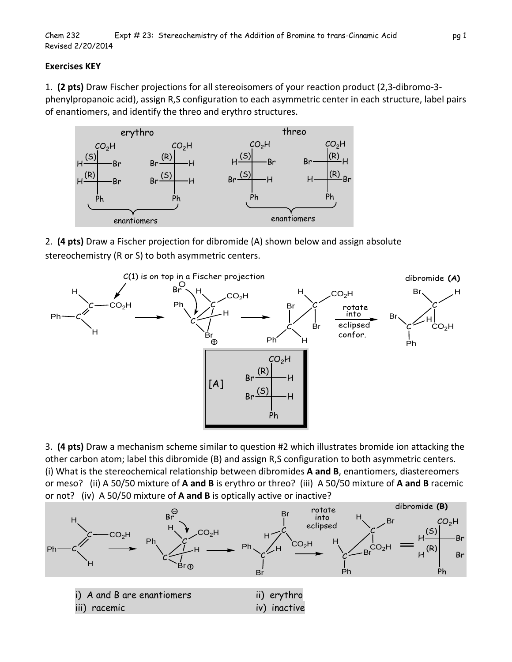## **Exercises KEY**

1. **(2 pts)** Draw Fischer projections for all stereoisomers of your reaction product (2,3‐dibromo‐3‐ phenylpropanoic acid), assign R,S configuration to each asymmetric center in each structure, label pairs of enantiomers, and identify the threo and erythro structures.



2. **(4 pts)** Draw a Fischer projection for dibromide (A) shown below and assign absolute stereochemistry (R or S) to both asymmetric centers.





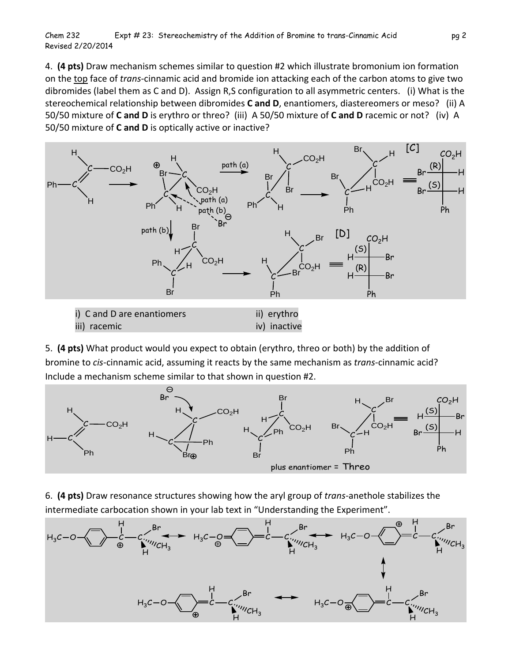4. **(4 pts)** Draw mechanism schemes similar to question #2 which illustrate bromonium ion formation on the top face of *trans*‐cinnamic acid and bromide ion attacking each of the carbon atoms to give two dibromides (label them as C and D). Assign R,S configuration to all asymmetric centers. (i) What is the stereochemical relationship between dibromides **C and D**, enantiomers, diastereomers or meso? (ii) A 50/50 mixture of **C and D** is erythro or threo? (iii) A 50/50 mixture of **C and D** racemic or not? (iv) A 50/50 mixture of **C and D** is optically active or inactive?



5. **(4 pts)** What product would you expect to obtain (erythro, threo or both) by the addition of bromine to *cis*‐cinnamic acid, assuming it reacts by the same mechanism as *trans*‐cinnamic acid? Include a mechanism scheme similar to that shown in question #2.



6. **(4 pts)** Draw resonance structures showing how the aryl group of *trans*‐anethole stabilizes the intermediate carbocation shown in your lab text in "Understanding the Experiment".